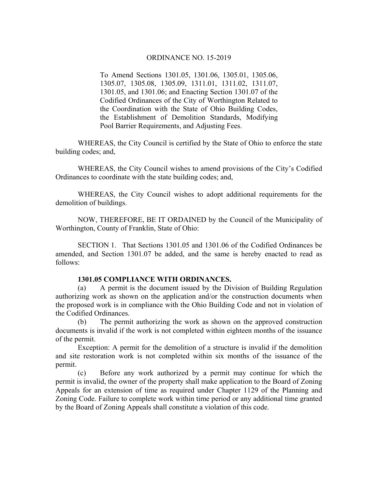To Amend Sections 1301.05, 1301.06, 1305.01, 1305.06, 1305.07, 1305.08, 1305.09, 1311.01, 1311.02, 1311.07, 1301.05, and 1301.06; and Enacting Section 1301.07 of the Codified Ordinances of the City of Worthington Related to the Coordination with the State of Ohio Building Codes, the Establishment of Demolition Standards, Modifying Pool Barrier Requirements, and Adjusting Fees.

WHEREAS, the City Council is certified by the State of Ohio to enforce the state building codes; and,

 WHEREAS, the City Council wishes to amend provisions of the City's Codified Ordinances to coordinate with the state building codes; and,

WHEREAS, the City Council wishes to adopt additional requirements for the demolition of buildings.

NOW, THEREFORE, BE IT ORDAINED by the Council of the Municipality of Worthington, County of Franklin, State of Ohio:

SECTION 1. That Sections 1301.05 and 1301.06 of the Codified Ordinances be amended, and Section 1301.07 be added, and the same is hereby enacted to read as follows:

#### **1301.05 COMPLIANCE WITH ORDINANCES.**

(a) A permit is the document issued by the Division of Building Regulation authorizing work as shown on the application and/or the construction documents when the proposed work is in compliance with the Ohio Building Code and not in violation of the Codified Ordinances.

(b) The permit authorizing the work as shown on the approved construction documents is invalid if the work is not completed within eighteen months of the issuance of the permit.

Exception: A permit for the demolition of a structure is invalid if the demolition and site restoration work is not completed within six months of the issuance of the permit.

(c) Before any work authorized by a permit may continue for which the permit is invalid, the owner of the property shall make application to the Board of Zoning Appeals for an extension of time as required under Chapter 1129 of the Planning and Zoning Code. Failure to complete work within time period or any additional time granted by the Board of Zoning Appeals shall constitute a violation of this code.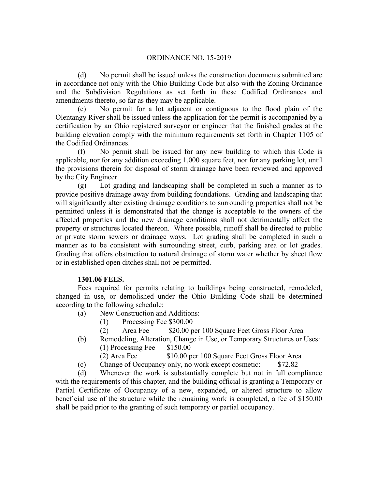(d) No permit shall be issued unless the construction documents submitted are in accordance not only with the Ohio Building Code but also with the Zoning Ordinance and the Subdivision Regulations as set forth in these Codified Ordinances and amendments thereto, so far as they may be applicable.

(e) No permit for a lot adjacent or contiguous to the flood plain of the Olentangy River shall be issued unless the application for the permit is accompanied by a certification by an Ohio registered surveyor or engineer that the finished grades at the building elevation comply with the minimum requirements set forth in Chapter 1105 of the Codified Ordinances.

(f) No permit shall be issued for any new building to which this Code is applicable, nor for any addition exceeding 1,000 square feet, nor for any parking lot, until the provisions therein for disposal of storm drainage have been reviewed and approved by the City Engineer.

(g) Lot grading and landscaping shall be completed in such a manner as to provide positive drainage away from building foundations. Grading and landscaping that will significantly alter existing drainage conditions to surrounding properties shall not be permitted unless it is demonstrated that the change is acceptable to the owners of the affected properties and the new drainage conditions shall not detrimentally affect the property or structures located thereon. Where possible, runoff shall be directed to public or private storm sewers or drainage ways. Lot grading shall be completed in such a manner as to be consistent with surrounding street, curb, parking area or lot grades. Grading that offers obstruction to natural drainage of storm water whether by sheet flow or in established open ditches shall not be permitted.

### **1301.06 FEES.**

Fees required for permits relating to buildings being constructed, remodeled, changed in use, or demolished under the Ohio Building Code shall be determined according to the following schedule:

- (a) New Construction and Additions:
	- (1) Processing Fee \$300.00
	- (2) Area Fee \$20.00 per 100 Square Feet Gross Floor Area
- (b) Remodeling, Alteration, Change in Use, or Temporary Structures or Uses:
	- $(1)$  Processing Fee  $$150.00$
	- (2) Area Fee \$10.00 per 100 Square Feet Gross Floor Area
- (c) Change of Occupancy only, no work except cosmetic: \$72.82

(d) Whenever the work is substantially complete but not in full compliance with the requirements of this chapter, and the building official is granting a Temporary or Partial Certificate of Occupancy of a new, expanded, or altered structure to allow beneficial use of the structure while the remaining work is completed, a fee of \$150.00 shall be paid prior to the granting of such temporary or partial occupancy.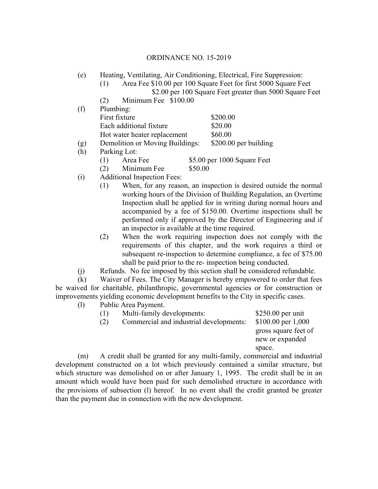- (e) Heating, Ventilating, Air Conditioning, Electrical, Fire Suppression:
	- (1) Area Fee \$10.00 per 100 Square Feet for first 5000 Square Feet \$2.00 per 100 Square Feet greater than 5000 Square Feet
	- (2) Minimum Fee \$100.00

| (f) | Plumbing:                    |                                 |                             |
|-----|------------------------------|---------------------------------|-----------------------------|
|     | First fixture                |                                 | \$200.00                    |
|     | Each additional fixture      |                                 | \$20.00                     |
|     | Hot water heater replacement |                                 | \$60.00                     |
| (g) |                              | Demolition or Moving Buildings: |                             |
| (h) | Parking Lot:                 |                                 |                             |
|     | Area Fee<br>(1)              |                                 | \$5.00 per 1000 Square Feet |
|     | Minimum Fee<br>(2)           | \$50.00                         |                             |

- (i) Additional Inspection Fees:
	- (1) When, for any reason, an inspection is desired outside the normal working hours of the Division of Building Regulation, an Overtime Inspection shall be applied for in writing during normal hours and accompanied by a fee of \$150.00. Overtime inspections shall be performed only if approved by the Director of Engineering and if an inspector is available at the time required.
	- (2) When the work requiring inspection does not comply with the requirements of this chapter, and the work requires a third or subsequent re-inspection to determine compliance, a fee of \$75.00 shall be paid prior to the re- inspection being conducted.
- (j) Refunds. No fee imposed by this section shall be considered refundable.

(k) Waiver of Fees. The City Manager is hereby empowered to order that fees be waived for charitable, philanthropic, governmental agencies or for construction or improvements yielding economic development benefits to the City in specific cases.

(l) Public Area Payment.

| (1) |             | Multi-family developments:              |                | $$250.00$ per unit                                                                      |
|-----|-------------|-----------------------------------------|----------------|-----------------------------------------------------------------------------------------|
| (2) |             | Commercial and industrial developments: |                | $$100.00$ per 1,000                                                                     |
|     |             |                                         |                | gross square feet of<br>new or expanded                                                 |
|     |             |                                         |                | space.                                                                                  |
|     | 1, 1, 11, 1 |                                         | $1.2 \times 1$ | $\mathbf{1}$ , $\mathbf{1}$ , $\mathbf{1}$ , $\mathbf{1}$ , $\mathbf{1}$ , $\mathbf{1}$ |

(m) A credit shall be granted for any multi-family, commercial and industrial development constructed on a lot which previously contained a similar structure, but which structure was demolished on or after January 1, 1995. The credit shall be in an amount which would have been paid for such demolished structure in accordance with the provisions of subsection (l) hereof. In no event shall the credit granted be greater than the payment due in connection with the new development.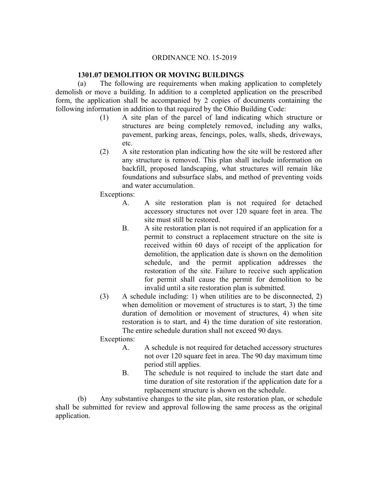## **1301.07 DEMOLITION OR MOVING BUILDINGS**

(a) The following are requirements when making application to completely demolish or move a building. In addition to a completed application on the prescribed form, the application shall be accompanied by 2 copies of documents containing the following information in addition to that required by the Ohio Building Code:

- (1) A site plan of the parcel of land indicating which structure or structures are being completely removed, including any walks, pavement, parking areas, fencings, poles, walls, sheds, driveways, etc.
- (2) A site restoration plan indicating how the site will be restored after any structure is removed. This plan shall include information on backfill, proposed landscaping, what structures will remain like foundations and subsurface slabs, and method of preventing voids and water accumulation.

Exceptions:

- A. A site restoration plan is not required for detached accessory structures not over 120 square feet in area. The site must still be restored.
- B. A site restoration plan is not required if an application for a permit to construct a replacement structure on the site is received within 60 days of receipt of the application for demolition, the application date is shown on the demolition schedule, and the permit application addresses the restoration of the site. Failure to receive such application for permit shall cause the permit for demolition to be invalid until a site restoration plan is submitted.
- (3) A schedule including: 1) when utilities are to be disconnected, 2) when demolition or movement of structures is to start, 3) the time duration of demolition or movement of structures, 4) when site restoration is to start, and 4) the time duration of site restoration. The entire schedule duration shall not exceed 90 days.

Exceptions:

- A. A schedule is not required for detached accessory structures not over 120 square feet in area. The 90 day maximum time period still applies.
- B. The schedule is not required to include the start date and time duration of site restoration if the application date for a replacement structure is shown on the schedule.

(b) Any substantive changes to the site plan, site restoration plan, or schedule shall be submitted for review and approval following the same process as the original application.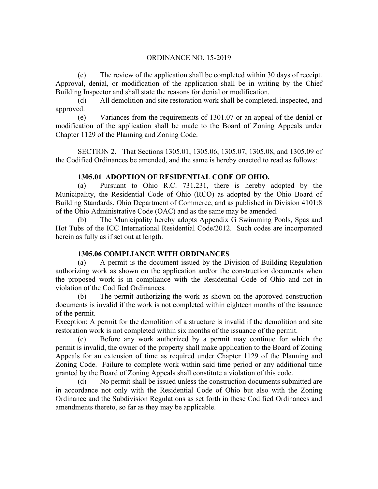(c) The review of the application shall be completed within 30 days of receipt. Approval, denial, or modification of the application shall be in writing by the Chief Building Inspector and shall state the reasons for denial or modification.

(d) All demolition and site restoration work shall be completed, inspected, and approved.

(e) Variances from the requirements of 1301.07 or an appeal of the denial or modification of the application shall be made to the Board of Zoning Appeals under Chapter 1129 of the Planning and Zoning Code.

SECTION 2. That Sections 1305.01, 1305.06, 1305.07, 1305.08, and 1305.09 of the Codified Ordinances be amended, and the same is hereby enacted to read as follows:

# **1305.01 ADOPTION OF RESIDENTIAL CODE OF OHIO.**

(a) Pursuant to Ohio R.C. 731.231, there is hereby adopted by the Municipality, the Residential Code of Ohio (RCO) as adopted by the Ohio Board of Building Standards, Ohio Department of Commerce, and as published in Division 4101:8 of the Ohio Administrative Code (OAC) and as the same may be amended.

The Municipality hereby adopts Appendix G Swimming Pools, Spas and Hot Tubs of the ICC International Residential Code/2012. Such codes are incorporated herein as fully as if set out at length.

# **1305.06 COMPLIANCE WITH ORDINANCES**

(a) A permit is the document issued by the Division of Building Regulation authorizing work as shown on the application and/or the construction documents when the proposed work is in compliance with the Residential Code of Ohio and not in violation of the Codified Ordinances.

(b) The permit authorizing the work as shown on the approved construction documents is invalid if the work is not completed within eighteen months of the issuance of the permit.

Exception: A permit for the demolition of a structure is invalid if the demolition and site restoration work is not completed within six months of the issuance of the permit.

(c) Before any work authorized by a permit may continue for which the permit is invalid, the owner of the property shall make application to the Board of Zoning Appeals for an extension of time as required under Chapter 1129 of the Planning and Zoning Code. Failure to complete work within said time period or any additional time granted by the Board of Zoning Appeals shall constitute a violation of this code.

(d) No permit shall be issued unless the construction documents submitted are in accordance not only with the Residential Code of Ohio but also with the Zoning Ordinance and the Subdivision Regulations as set forth in these Codified Ordinances and amendments thereto, so far as they may be applicable.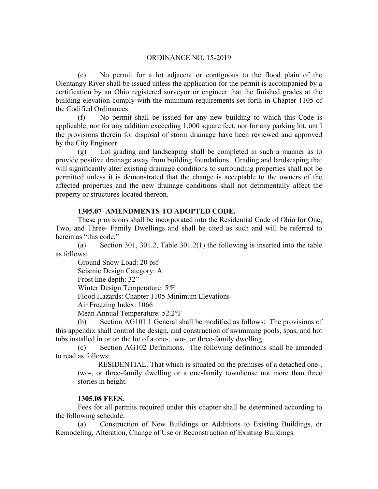(e) No permit for a lot adjacent or contiguous to the flood plain of the Olentangy River shall be issued unless the application for the permit is accompanied by a certification by an Ohio registered surveyor or engineer that the finished grades at the building elevation comply with the minimum requirements set forth in Chapter 1105 of the Codified Ordinances.

(f) No permit shall be issued for any new building to which this Code is applicable, nor for any addition exceeding 1,000 square feet, nor for any parking lot, until the provisions therein for disposal of storm drainage have been reviewed and approved by the City Engineer.

(g) Lot grading and landscaping shall be completed in such a manner as to provide positive drainage away from building foundations. Grading and landscaping that will significantly alter existing drainage conditions to surrounding properties shall not be permitted unless it is demonstrated that the change is acceptable to the owners of the affected properties and the new drainage conditions shall not detrimentally affect the property or structures located thereon.

## **1305.07 AMENDMENTS TO ADOPTED CODE.**

These provisions shall be incorporated into the Residential Code of Ohio for One, Two, and Three- Family Dwellings and shall be cited as such and will be referred to herein as "this code."

(a) Section 301, 301.2, Table 301.2(1) the following is inserted into the table as follows:

Ground Snow Load: 20 psf Seismic Design Category: A Frost line depth: 32" Winter Design Temperature: 5ºF Flood Hazards: Chapter 1105 Minimum Elevations Air Freezing Index: 1066 Mean Annual Temperature: 52.2°F

(b) Section AG101.1 General shall be modified as follows: The provisions of this appendix shall control the design, and construction of swimming pools, spas, and hot tubs installed in or on the lot of a one-, two-, or three-family dwelling.

(c) Section AG102 Definitions. The following definitions shall be amended to read as follows:

 RESIDENTIAL. That which is situated on the premises of a detached one-, two-, or three-family dwelling or a one-family townhouse not more than three stories in height.

### **1305.08 FEES.**

Fees for all permits required under this chapter shall be determined according to the following schedule:

(a) Construction of New Buildings or Additions to Existing Buildings, or Remodeling, Alteration, Change of Use or Reconstruction of Existing Buildings.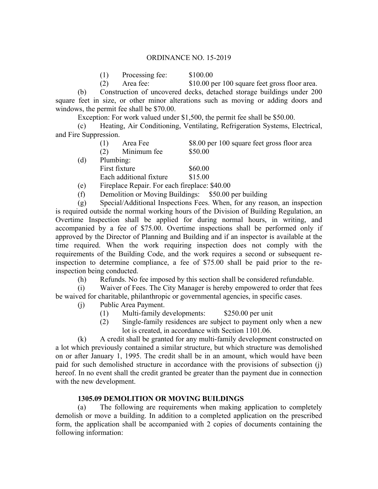| (1) | Processing fee: | \$100.00                                      |
|-----|-----------------|-----------------------------------------------|
| (2) | Area fee:       | \$10.00 per 100 square feet gross floor area. |

(b) Construction of uncovered decks, detached storage buildings under 200 square feet in size, or other minor alterations such as moving or adding doors and windows, the permit fee shall be \$70.00.

Exception: For work valued under \$1,500, the permit fee shall be \$50.00.

(c) Heating, Air Conditioning, Ventilating, Refrigeration Systems, Electrical, and Fire Suppression.

|     | Area Fee                                      | \$8.00 per 100 square feet gross floor area |
|-----|-----------------------------------------------|---------------------------------------------|
|     | Minimum fee<br>(2)                            | \$50.00                                     |
| (d) | Plumbing:                                     |                                             |
|     | First fixture                                 | \$60.00                                     |
|     | Each additional fixture                       | \$15.00                                     |
| (e) | Fireplace Repair. For each fireplace: \$40.00 |                                             |

(f) Demolition or Moving Buildings: \$50.00 per building

(g) Special/Additional Inspections Fees. When, for any reason, an inspection is required outside the normal working hours of the Division of Building Regulation, an Overtime Inspection shall be applied for during normal hours, in writing, and accompanied by a fee of \$75.00. Overtime inspections shall be performed only if approved by the Director of Planning and Building and if an inspector is available at the time required. When the work requiring inspection does not comply with the requirements of the Building Code, and the work requires a second or subsequent reinspection to determine compliance, a fee of \$75.00 shall be paid prior to the reinspection being conducted.

(h) Refunds. No fee imposed by this section shall be considered refundable.

(i) Waiver of Fees. The City Manager is hereby empowered to order that fees be waived for charitable, philanthropic or governmental agencies, in specific cases.

- (j) Public Area Payment.
	- (1) Multi-family developments: \$250.00 per unit
	- (2) Single-family residences are subject to payment only when a new lot is created, in accordance with Section 1101.06.

(k) A credit shall be granted for any multi-family development constructed on a lot which previously contained a similar structure, but which structure was demolished on or after January 1, 1995. The credit shall be in an amount, which would have been paid for such demolished structure in accordance with the provisions of subsection (j) hereof. In no event shall the credit granted be greater than the payment due in connection with the new development.

# **1305.09 DEMOLITION OR MOVING BUILDINGS**

(a) The following are requirements when making application to completely demolish or move a building. In addition to a completed application on the prescribed form, the application shall be accompanied with 2 copies of documents containing the following information: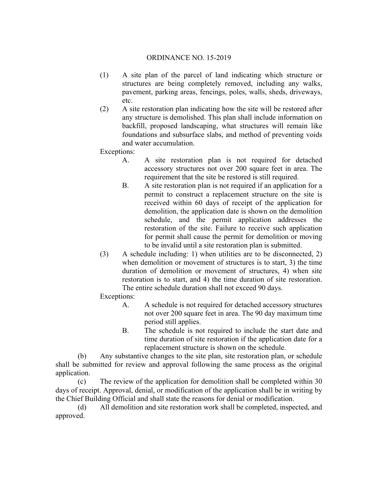- (1) A site plan of the parcel of land indicating which structure or structures are being completely removed, including any walks, pavement, parking areas, fencings, poles, walls, sheds, driveways, etc.
- (2) A site restoration plan indicating how the site will be restored after any structure is demolished. This plan shall include information on backfill, proposed landscaping, what structures will remain like foundations and subsurface slabs, and method of preventing voids and water accumulation.

Exceptions:

- A. A site restoration plan is not required for detached accessory structures not over 200 square feet in area. The requirement that the site be restored is still required.
- B. A site restoration plan is not required if an application for a permit to construct a replacement structure on the site is received within 60 days of receipt of the application for demolition, the application date is shown on the demolition schedule, and the permit application addresses the restoration of the site. Failure to receive such application for permit shall cause the permit for demolition or moving to be invalid until a site restoration plan is submitted.
- (3) A schedule including: 1) when utilities are to be disconnected, 2) when demolition or movement of structures is to start, 3) the time duration of demolition or movement of structures, 4) when site restoration is to start, and 4) the time duration of site restoration. The entire schedule duration shall not exceed 90 days.
- Exceptions:
	- A. A schedule is not required for detached accessory structures not over 200 square feet in area. The 90 day maximum time period still applies.
	- B. The schedule is not required to include the start date and time duration of site restoration if the application date for a replacement structure is shown on the schedule.

(b) Any substantive changes to the site plan, site restoration plan, or schedule shall be submitted for review and approval following the same process as the original application.

(c) The review of the application for demolition shall be completed within 30 days of receipt. Approval, denial, or modification of the application shall be in writing by the Chief Building Official and shall state the reasons for denial or modification.

(d) All demolition and site restoration work shall be completed, inspected, and approved.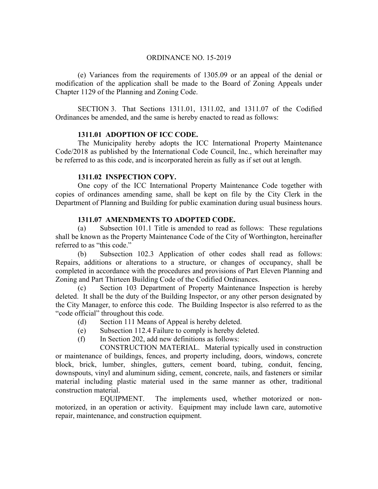(e) Variances from the requirements of 1305.09 or an appeal of the denial or modification of the application shall be made to the Board of Zoning Appeals under Chapter 1129 of the Planning and Zoning Code.

SECTION 3. That Sections 1311.01, 1311.02, and 1311.07 of the Codified Ordinances be amended, and the same is hereby enacted to read as follows:

## **1311.01 ADOPTION OF ICC CODE.**

The Municipality hereby adopts the ICC International Property Maintenance Code/2018 as published by the International Code Council, Inc., which hereinafter may be referred to as this code, and is incorporated herein as fully as if set out at length.

## **1311.02 INSPECTION COPY.**

One copy of the ICC International Property Maintenance Code together with copies of ordinances amending same, shall be kept on file by the City Clerk in the Department of Planning and Building for public examination during usual business hours.

## **1311.07 AMENDMENTS TO ADOPTED CODE.**

(a) Subsection 101.1 Title is amended to read as follows: These regulations shall be known as the Property Maintenance Code of the City of Worthington, hereinafter referred to as "this code."

(b) Subsection 102.3 Application of other codes shall read as follows: Repairs, additions or alterations to a structure, or changes of occupancy, shall be completed in accordance with the procedures and provisions of Part Eleven Planning and Zoning and Part Thirteen Building Code of the Codified Ordinances.

(c) Section 103 Department of Property Maintenance Inspection is hereby deleted. It shall be the duty of the Building Inspector, or any other person designated by the City Manager, to enforce this code. The Building Inspector is also referred to as the "code official" throughout this code.

- (d) Section 111 Means of Appeal is hereby deleted.
- (e) Subsection 112.4 Failure to comply is hereby deleted.
- (f) In Section 202, add new definitions as follows:

 CONSTRUCTION MATERIAL. Material typically used in construction or maintenance of buildings, fences, and property including, doors, windows, concrete block, brick, lumber, shingles, gutters, cement board, tubing, conduit, fencing, downspouts, vinyl and aluminum siding, cement, concrete, nails, and fasteners or similar material including plastic material used in the same manner as other, traditional construction material.

 EQUIPMENT. The implements used, whether motorized or nonmotorized, in an operation or activity. Equipment may include lawn care, automotive repair, maintenance, and construction equipment.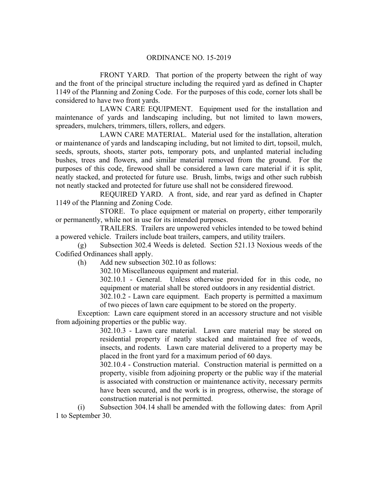FRONT YARD. That portion of the property between the right of way and the front of the principal structure including the required yard as defined in Chapter 1149 of the Planning and Zoning Code. For the purposes of this code, corner lots shall be considered to have two front yards.

 LAWN CARE EQUIPMENT. Equipment used for the installation and maintenance of yards and landscaping including, but not limited to lawn mowers, spreaders, mulchers, trimmers, tillers, rollers, and edgers.

 LAWN CARE MATERIAL. Material used for the installation, alteration or maintenance of yards and landscaping including, but not limited to dirt, topsoil, mulch, seeds, sprouts, shoots, starter pots, temporary pots, and unplanted material including bushes, trees and flowers, and similar material removed from the ground. For the purposes of this code, firewood shall be considered a lawn care material if it is split, neatly stacked, and protected for future use. Brush, limbs, twigs and other such rubbish not neatly stacked and protected for future use shall not be considered firewood.

 REQUIRED YARD. A front, side, and rear yard as defined in Chapter 1149 of the Planning and Zoning Code.

 STORE. To place equipment or material on property, either temporarily or permanently, while not in use for its intended purposes.

 TRAILERS. Trailers are unpowered vehicles intended to be towed behind a powered vehicle. Trailers include boat trailers, campers, and utility trailers.

(g) Subsection 302.4 Weeds is deleted. Section 521.13 Noxious weeds of the Codified Ordinances shall apply.

(h) Add new subsection 302.10 as follows:

302.10 Miscellaneous equipment and material.

302.10.1 - General. Unless otherwise provided for in this code, no equipment or material shall be stored outdoors in any residential district.

302.10.2 - Lawn care equipment. Each property is permitted a maximum of two pieces of lawn care equipment to be stored on the property.

Exception: Lawn care equipment stored in an accessory structure and not visible from adjoining properties or the public way.

> 302.10.3 - Lawn care material. Lawn care material may be stored on residential property if neatly stacked and maintained free of weeds, insects, and rodents. Lawn care material delivered to a property may be placed in the front yard for a maximum period of 60 days.

> 302.10.4 - Construction material. Construction material is permitted on a property, visible from adjoining property or the public way if the material is associated with construction or maintenance activity, necessary permits have been secured, and the work is in progress, otherwise, the storage of construction material is not permitted.

(i) Subsection 304.14 shall be amended with the following dates: from April 1 to September 30.